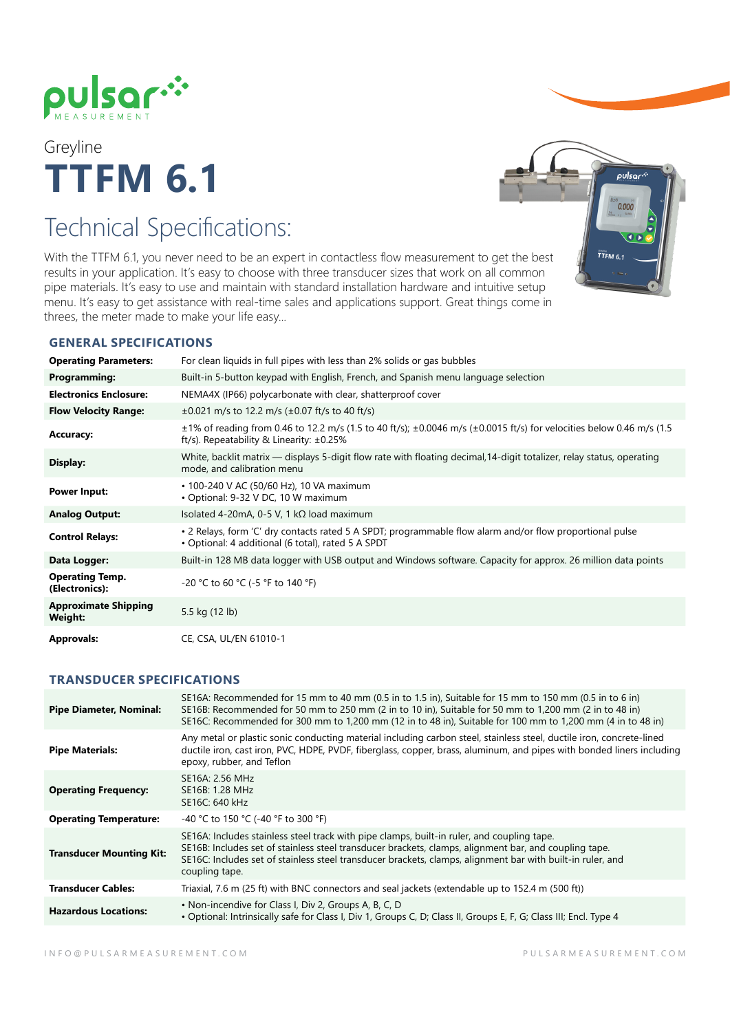

Greyline **TTFM 6.1**

# Technical Specifications:

With the TTFM 6.1, you never need to be an expert in contactless flow measurement to get the best results in your application. It's easy to choose with three transducer sizes that work on all common pipe materials. It's easy to use and maintain with standard installation hardware and intuitive setup menu. It's easy to get assistance with real-time sales and applications support. Great things come in threes, the meter made to make your life easy...

## **GENERAL SPECIFICATIONS**

| <b>Operating Parameters:</b>             | For clean liquids in full pipes with less than 2% solids or gas bubbles                                                                                                                |
|------------------------------------------|----------------------------------------------------------------------------------------------------------------------------------------------------------------------------------------|
| <b>Programming:</b>                      | Built-in 5-button keypad with English, French, and Spanish menu language selection                                                                                                     |
| <b>Electronics Enclosure:</b>            | NEMA4X (IP66) polycarbonate with clear, shatterproof cover                                                                                                                             |
| <b>Flow Velocity Range:</b>              | $\pm 0.021$ m/s to 12.2 m/s ( $\pm 0.07$ ft/s to 40 ft/s)                                                                                                                              |
| <b>Accuracy:</b>                         | $\pm$ 1% of reading from 0.46 to 12.2 m/s (1.5 to 40 ft/s); $\pm$ 0.0046 m/s ( $\pm$ 0.0015 ft/s) for velocities below 0.46 m/s (1.5<br>ft/s). Repeatability & Linearity: $\pm 0.25\%$ |
| Display:                                 | White, backlit matrix — displays 5-digit flow rate with floating decimal, 14-digit totalizer, relay status, operating<br>mode, and calibration menu                                    |
| <b>Power Input:</b>                      | • 100-240 V AC (50/60 Hz), 10 VA maximum<br>• Optional: 9-32 V DC, 10 W maximum                                                                                                        |
| <b>Analog Output:</b>                    | Isolated 4-20mA, 0-5 V, 1 kΩ load maximum                                                                                                                                              |
| <b>Control Relays:</b>                   | • 2 Relays, form 'C' dry contacts rated 5 A SPDT; programmable flow alarm and/or flow proportional pulse<br>• Optional: 4 additional (6 total), rated 5 A SPDT                         |
| Data Logger:                             | Built-in 128 MB data logger with USB output and Windows software. Capacity for approx. 26 million data points                                                                          |
| <b>Operating Temp.</b><br>(Electronics): | -20 °C to 60 °C (-5 °F to 140 °F)                                                                                                                                                      |
| <b>Approximate Shipping</b><br>Weight:   | 5.5 kg (12 lb)                                                                                                                                                                         |
| <b>Approvals:</b>                        | CE, CSA, UL/EN 61010-1                                                                                                                                                                 |

### **TRANSDUCER SPECIFICATIONS**

| <b>Pipe Diameter, Nominal:</b>  | SE16A: Recommended for 15 mm to 40 mm (0.5 in to 1.5 in), Suitable for 15 mm to 150 mm (0.5 in to 6 in)<br>SE16B: Recommended for 50 mm to 250 mm (2 in to 10 in), Suitable for 50 mm to 1,200 mm (2 in to 48 in)<br>SE16C: Recommended for 300 mm to 1,200 mm (12 in to 48 in), Suitable for 100 mm to 1,200 mm (4 in to 48 in)    |
|---------------------------------|-------------------------------------------------------------------------------------------------------------------------------------------------------------------------------------------------------------------------------------------------------------------------------------------------------------------------------------|
| <b>Pipe Materials:</b>          | Any metal or plastic sonic conducting material including carbon steel, stainless steel, ductile iron, concrete-lined<br>ductile iron, cast iron, PVC, HDPE, PVDF, fiberglass, copper, brass, aluminum, and pipes with bonded liners including<br>epoxy, rubber, and Teflon                                                          |
| <b>Operating Frequency:</b>     | SE16A: 2.56 MHz<br>SE16B: 1.28 MHz<br>SE16C: 640 kHz                                                                                                                                                                                                                                                                                |
| <b>Operating Temperature:</b>   | -40 °C to 150 °C (-40 °F to 300 °F)                                                                                                                                                                                                                                                                                                 |
| <b>Transducer Mounting Kit:</b> | SE16A: Includes stainless steel track with pipe clamps, built-in ruler, and coupling tape.<br>SE16B: Includes set of stainless steel transducer brackets, clamps, alignment bar, and coupling tape.<br>SE16C: Includes set of stainless steel transducer brackets, clamps, alignment bar with built-in ruler, and<br>coupling tape. |
| <b>Transducer Cables:</b>       | Triaxial, 7.6 m (25 ft) with BNC connectors and seal jackets (extendable up to 152.4 m (500 ft))                                                                                                                                                                                                                                    |
| <b>Hazardous Locations:</b>     | • Non-incendive for Class I, Div 2, Groups A, B, C, D<br>• Optional: Intrinsically safe for Class I, Div 1, Groups C, D; Class II, Groups E, F, G; Class III; Encl. Type 4                                                                                                                                                          |